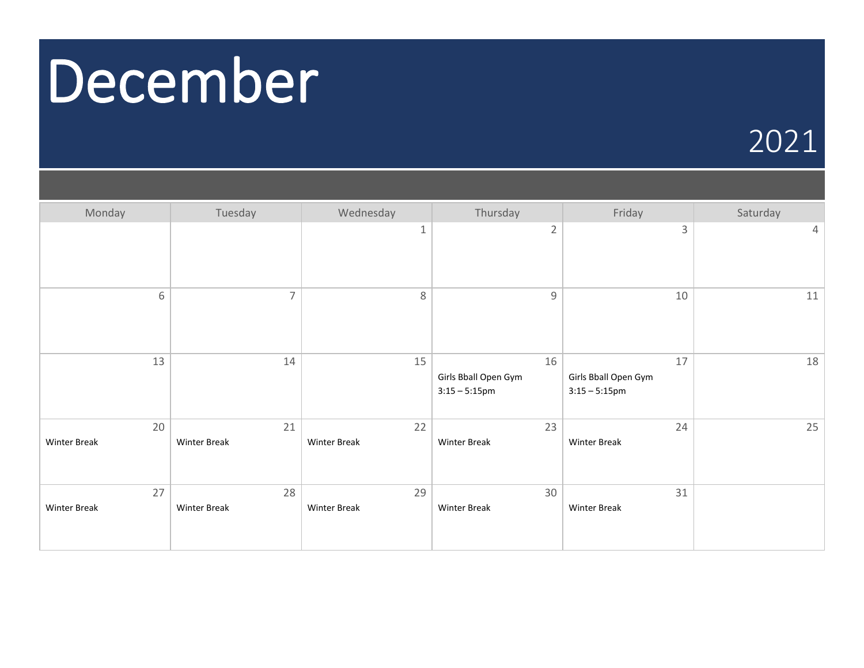### December

#### 2021

| Monday                    | Tuesday                   | Wednesday                 | Thursday                                       | Friday                                         | Saturday |
|---------------------------|---------------------------|---------------------------|------------------------------------------------|------------------------------------------------|----------|
|                           |                           | $\mathbf 1$               | $\overline{2}$                                 | 3                                              | 4        |
| 6                         | $\overline{7}$            | $\,8\,$                   | $\overline{9}$                                 | 10                                             | 11       |
| 13                        | 14                        | 15                        | 16<br>Girls Bball Open Gym<br>$3:15 - 5:15$ pm | 17<br>Girls Bball Open Gym<br>$3:15 - 5:15$ pm | 18       |
| 20<br><b>Winter Break</b> | 21<br><b>Winter Break</b> | 22<br><b>Winter Break</b> | 23<br><b>Winter Break</b>                      | 24<br><b>Winter Break</b>                      | 25       |
| 27<br><b>Winter Break</b> | 28<br><b>Winter Break</b> | 29<br><b>Winter Break</b> | 30<br><b>Winter Break</b>                      | 31<br><b>Winter Break</b>                      |          |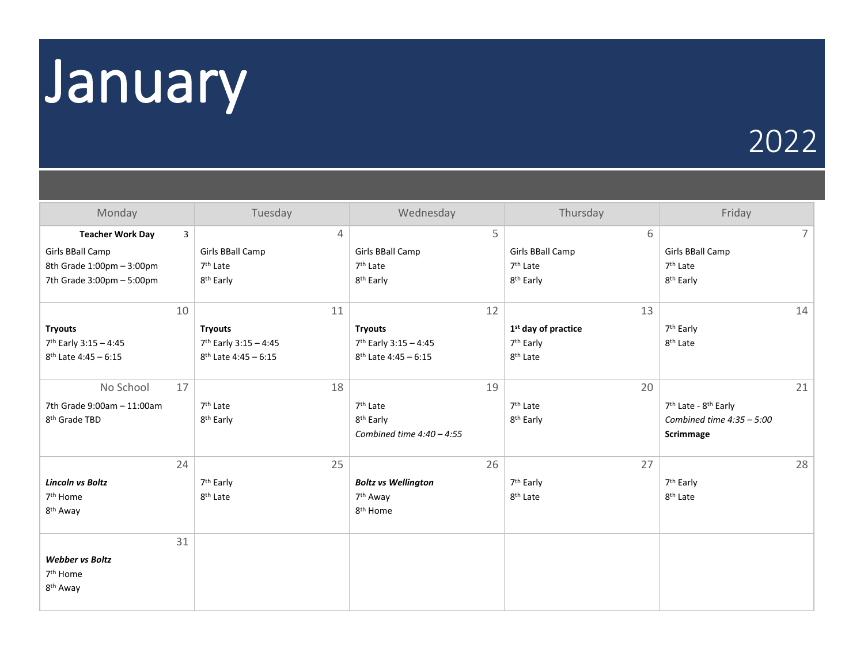## January

#### 2022

| Monday                                                        | Tuesday                           | Wednesday                                            | Thursday                        | Friday                                       |
|---------------------------------------------------------------|-----------------------------------|------------------------------------------------------|---------------------------------|----------------------------------------------|
| $\overline{3}$<br><b>Teacher Work Day</b><br>Girls BBall Camp | 4<br>Girls BBall Camp             | 5<br>Girls BBall Camp                                | 6<br>Girls BBall Camp           | $\overline{7}$<br>Girls BBall Camp           |
| 8th Grade 1:00pm - 3:00pm                                     | 7 <sup>th</sup> Late              | 7 <sup>th</sup> Late                                 | 7 <sup>th</sup> Late            | 7 <sup>th</sup> Late                         |
| 7th Grade 3:00pm - 5:00pm                                     | 8 <sup>th</sup> Early             | 8 <sup>th</sup> Early                                | 8 <sup>th</sup> Early           | 8 <sup>th</sup> Early                        |
| 10                                                            | 11                                | 12                                                   | 13                              | 14                                           |
| <b>Tryouts</b>                                                | <b>Tryouts</b>                    | <b>Tryouts</b>                                       | 1 <sup>st</sup> day of practice | 7 <sup>th</sup> Early                        |
| 7th Early 3:15 - 4:45                                         | 7 <sup>th</sup> Early 3:15 - 4:45 | 7th Early 3:15 - 4:45                                | 7 <sup>th</sup> Early           | 8 <sup>th</sup> Late                         |
| $8^{th}$ Late 4:45 - 6:15                                     | $8^{th}$ Late 4:45 - 6:15         | $8^{th}$ Late 4:45 - 6:15                            | 8 <sup>th</sup> Late            |                                              |
| No School<br>17                                               | 18                                | 19                                                   | 20                              | 21                                           |
| 7th Grade 9:00am - 11:00am                                    | 7 <sup>th</sup> Late              | 7 <sup>th</sup> Late                                 | 7 <sup>th</sup> Late            | 7 <sup>th</sup> Late - 8 <sup>th</sup> Early |
| 8 <sup>th</sup> Grade TBD                                     | 8 <sup>th</sup> Early             | 8 <sup>th</sup> Early<br>Combined time $4:40 - 4:55$ | 8 <sup>th</sup> Early           | Combined time $4:35 - 5:00$<br>Scrimmage     |
| 24                                                            | 25                                | 26                                                   | 27                              | 28                                           |
| <b>Lincoln vs Boltz</b>                                       | 7 <sup>th</sup> Early             | <b>Boltz vs Wellington</b>                           | 7 <sup>th</sup> Early           | 7 <sup>th</sup> Early                        |
| 7 <sup>th</sup> Home                                          | 8 <sup>th</sup> Late              | 7 <sup>th</sup> Away                                 | 8 <sup>th</sup> Late            | 8 <sup>th</sup> Late                         |
| 8 <sup>th</sup> Away                                          |                                   | 8 <sup>th</sup> Home                                 |                                 |                                              |
| 31                                                            |                                   |                                                      |                                 |                                              |
| <b>Webber vs Boltz</b>                                        |                                   |                                                      |                                 |                                              |
| 7 <sup>th</sup> Home                                          |                                   |                                                      |                                 |                                              |
| 8 <sup>th</sup> Away                                          |                                   |                                                      |                                 |                                              |